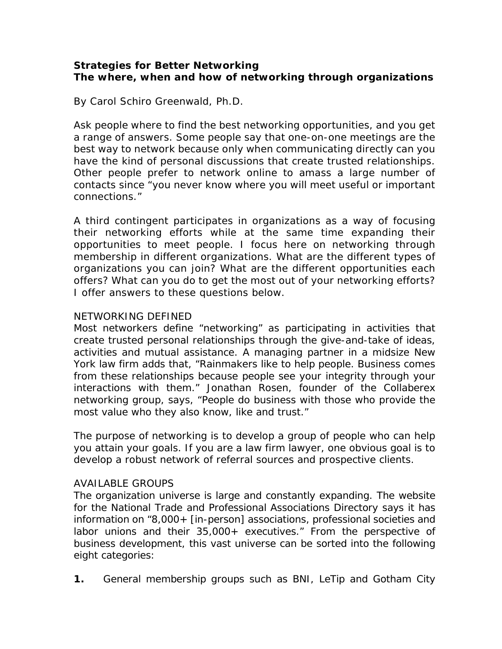# **Strategies for Better Networking The where, when and how of networking through organizations**

By Carol Schiro Greenwald, Ph.D.

Ask people where to find the best networking opportunities, and you get a range of answers. Some people say that one-on-one meetings are the best way to network because only when communicating directly can you have the kind of personal discussions that create trusted relationships. Other people prefer to network online to amass a large number of contacts since "you never know where you will meet useful or important connections."

A third contingent participates in organizations as a way of focusing their networking efforts while at the same time expanding their opportunities to meet people. I focus here on networking through membership in different organizations. What are the different types of organizations you can join? What are the different opportunities each offers? What can you do to get the most out of your networking efforts? I offer answers to these questions below.

### NETWORKING DEFINED

Most networkers define "networking" as participating in activities that create trusted personal relationships through the give-and-take of ideas, activities and mutual assistance. A managing partner in a midsize New York law firm adds that, "Rainmakers like to help people. Business comes from these relationships because people see your integrity through your interactions with them." Jonathan Rosen, founder of the Collaberex networking group, says, "People do business with those *who provide the most value* who they also know, like and trust."

The purpose of networking is to develop a group of people who can help you attain your goals. If you are a law firm lawyer, one obvious goal is to develop a robust network of referral sources and prospective clients.

#### AVAILABLE GROUPS

The organization universe is large and constantly expanding. The website for the National Trade and Professional Associations Directory says it has information on "8,000+ [in-person] associations, professional societies and labor unions and their 35,000+ executives." From the perspective of business development, this vast universe can be sorted into the following eight categories:

**1.** General membership groups such as BNI, LeTip and Gotham City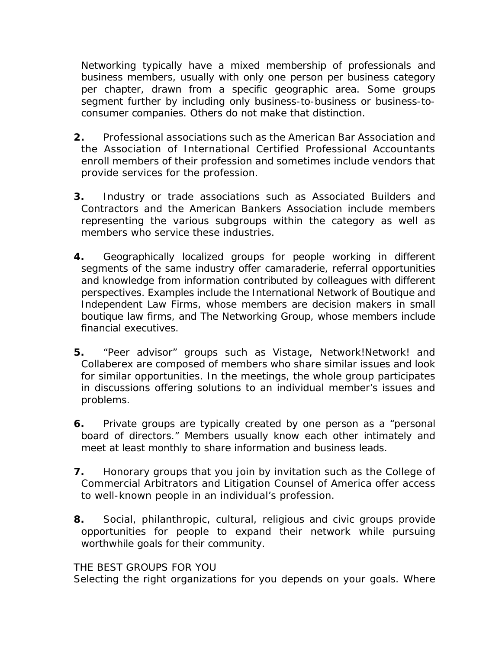Networking typically have a mixed membership of professionals and business members, usually with only one person per business category per chapter, drawn from a specific geographic area. Some groups segment further by including only business-to-business or business-toconsumer companies. Others do not make that distinction.

- **2.** Professional associations such as the American Bar Association and the Association of International Certified Professional Accountants enroll members of their profession and sometimes include vendors that provide services for the profession.
- **3.** Industry or trade associations such as Associated Builders and Contractors and the American Bankers Association include members representing the various subgroups within the category as well as members who service these industries.
- **4.** Geographically localized groups for people working in different segments of the same industry offer camaraderie, referral opportunities and knowledge from information contributed by colleagues with different perspectives. Examples include the International Network of Boutique and Independent Law Firms, whose members are decision makers in small boutique law firms, and The Networking Group, whose members include financial executives.
- **5.** "Peer advisor" groups such as Vistage, Network!Network! and Collaberex are composed of members who share similar issues and look for similar opportunities. In the meetings, the whole group participates in discussions offering solutions to an individual member's issues and problems.
- **6.** Private groups are typically created by one person as a "personal board of directors." Members usually know each other intimately and meet at least monthly to share information and business leads.
- **7.** Honorary groups that you join by invitation such as the College of Commercial Arbitrators and Litigation Counsel of America offer access to well-known people in an individual's profession.
- **8.** Social, philanthropic, cultural, religious and civic groups provide opportunities for people to expand their network while pursuing worthwhile goals for their community.

#### THE BEST GROUPS FOR YOU

Selecting the right organizations for you depends on your goals. Where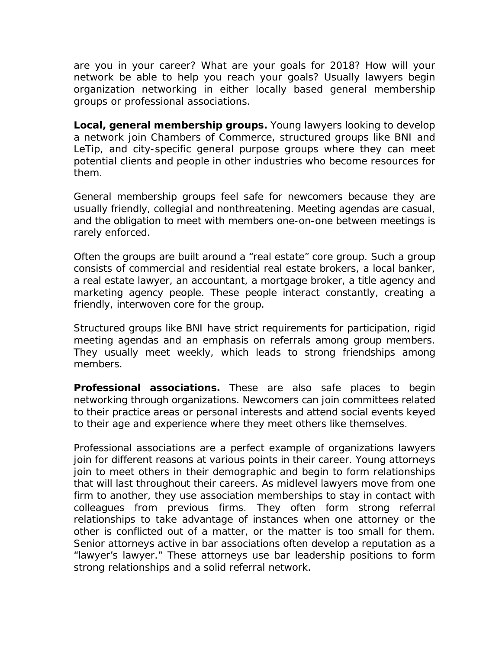are you in your career? What are your goals for 2018? How will your network be able to help you reach your goals? Usually lawyers begin organization networking in either locally based general membership groups or professional associations.

**Local, general membership groups.** Young lawyers looking to develop a network join Chambers of Commerce, structured groups like BNI and LeTip, and city-specific general purpose groups where they can meet potential clients and people in other industries who become resources for them.

General membership groups feel safe for newcomers because they are usually friendly, collegial and nonthreatening. Meeting agendas are casual, and the obligation to meet with members one-on-one between meetings is rarely enforced.

Often the groups are built around a "real estate" core group. Such a group consists of commercial and residential real estate brokers, a local banker, a real estate lawyer, an accountant, a mortgage broker, a title agency and marketing agency people. These people interact constantly, creating a friendly, interwoven core for the group.

Structured groups like BNI have strict requirements for participation, rigid meeting agendas and an emphasis on referrals among group members. They usually meet weekly, which leads to strong friendships among members.

**Professional associations.** These are also safe places to begin networking through organizations. Newcomers can join committees related to their practice areas or personal interests and attend social events keyed to their age and experience where they meet others like themselves.

Professional associations are a perfect example of organizations lawyers join for different reasons at various points in their career. Young attorneys join to meet others in their demographic and begin to form relationships that will last throughout their careers. As midlevel lawyers move from one firm to another, they use association memberships to stay in contact with colleagues from previous firms. They often form strong referral relationships to take advantage of instances when one attorney or the other is conflicted out of a matter, or the matter is too small for them. Senior attorneys active in bar associations often develop a reputation as a "lawyer's lawyer." These attorneys use bar leadership positions to form strong relationships and a solid referral network.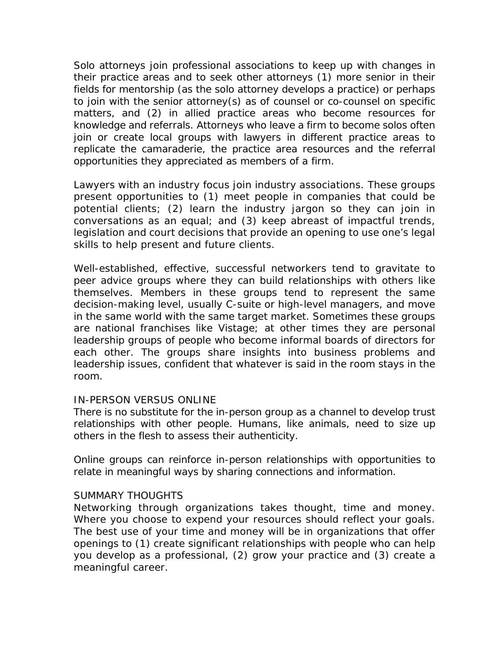Solo attorneys join professional associations to keep up with changes in their practice areas and to seek other attorneys (1) more senior in their fields for mentorship (as the solo attorney develops a practice) or perhaps to join with the senior attorney(s) as of counsel or co-counsel on specific matters, and (2) in allied practice areas who become resources for knowledge and referrals. Attorneys who leave a firm to become solos often join or create local groups with lawyers in different practice areas to replicate the camaraderie, the practice area resources and the referral opportunities they appreciated as members of a firm.

Lawyers with an industry focus join industry associations. These groups present opportunities to (1) meet people in companies that could be potential clients; (2) learn the industry jargon so they can join in conversations as an equal; and (3) keep abreast of impactful trends, legislation and court decisions that provide an opening to use one's legal skills to help present and future clients.

Well-established, effective, successful networkers tend to gravitate to peer advice groups where they can build relationships with others like themselves. Members in these groups tend to represent the same decision-making level, usually C-suite or high-level managers, and move in the same world with the same target market. Sometimes these groups are national franchises like Vistage; at other times they are personal leadership groups of people who become informal boards of directors for each other. The groups share insights into business problems and leadership issues, confident that whatever is said in the room stays in the room.

#### IN-PERSON VERSUS ONLINE

There is no substitute for the in-person group as a channel to develop trust relationships with other people. Humans, like animals, need to size up others in the flesh to assess their authenticity.

Online groups can reinforce in-person relationships with opportunities to relate in meaningful ways by sharing connections and information.

#### SUMMARY THOUGHTS

Networking through organizations takes thought, time and money. Where you choose to expend your resources should reflect your goals. The best use of your time and money will be in organizations that offer openings to (1) create significant relationships with people who can help you develop as a professional, (2) grow your practice and (3) create a meaningful career.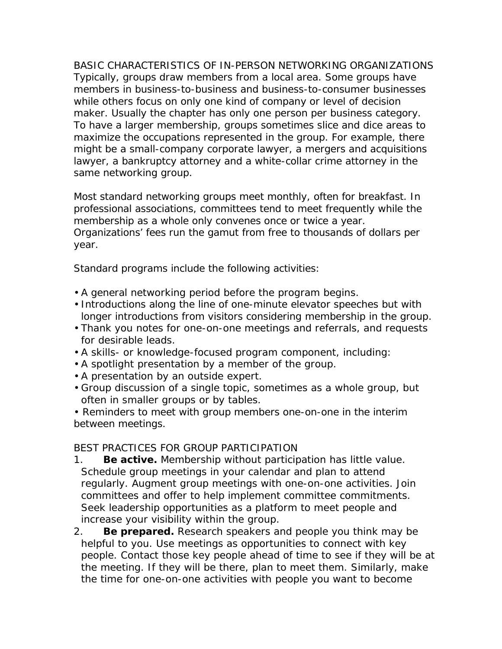BASIC CHARACTERISTICS OF IN-PERSON NETWORKING ORGANIZATIONS Typically, groups draw members from a local area. Some groups have members in business-to-business and business-to-consumer businesses while others focus on only one kind of company or level of decision maker. Usually the chapter has only one person per business category. To have a larger membership, groups sometimes slice and dice areas to maximize the occupations represented in the group. For example, there might be a small-company corporate lawyer, a mergers and acquisitions lawyer, a bankruptcy attorney and a white-collar crime attorney in the same networking group.

Most standard networking groups meet monthly, often for breakfast. In professional associations, committees tend to meet frequently while the membership as a whole only convenes once or twice a year. Organizations' fees run the gamut from free to thousands of dollars per year.

Standard programs include the following activities:

- A general networking period before the program begins.
- Introductions along the line of one-minute elevator speeches but with longer introductions from visitors considering membership in the group.
- Thank you notes for one-on-one meetings and referrals, and requests for desirable leads.
- A skills- or knowledge-focused program component, including:
- A spotlight presentation by a member of the group.
- A presentation by an outside expert.
- Group discussion of a single topic, sometimes as a whole group, but often in smaller groups or by tables.

• Reminders to meet with group members one-on-one in the interim between meetings.

## BEST PRACTICES FOR GROUP PARTICIPATION

- 1. **Be active.** Membership without participation has little value. Schedule group meetings in your calendar and plan to attend regularly. Augment group meetings with one-on-one activities. Join committees and offer to help implement committee commitments. Seek leadership opportunities as a platform to meet people and increase your visibility within the group.
- 2. **Be prepared.** Research speakers and people you think may be helpful to you. Use meetings as opportunities to connect with key people. Contact those key people ahead of time to see if they will be at the meeting. If they will be there, plan to meet them. Similarly, make the time for one-on-one activities with people you want to become